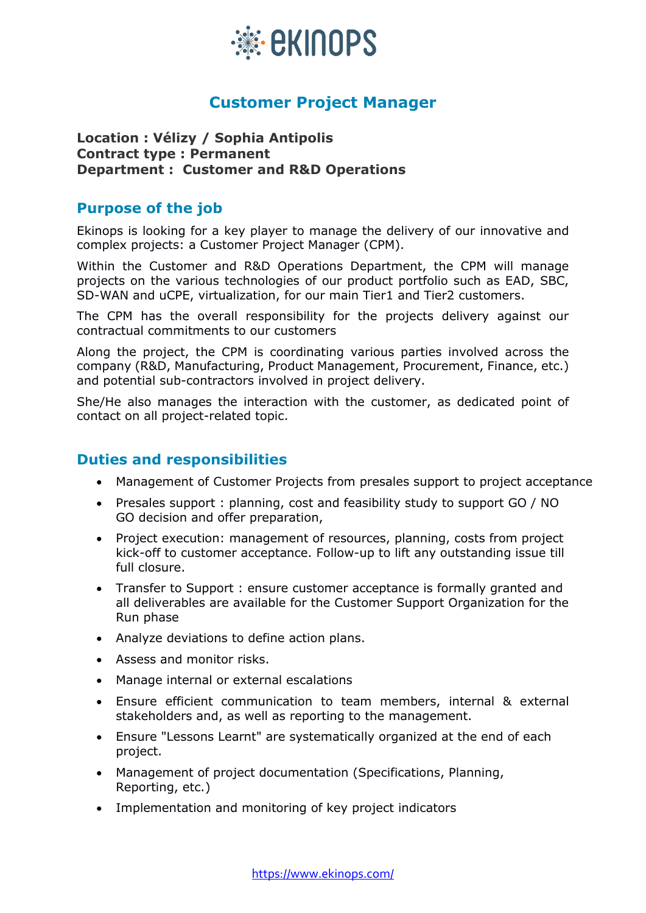

# **Customer Project Manager**

### **Location : Vélizy / Sophia Antipolis Contract type : Permanent Department : Customer and R&D Operations**

### **Purpose of the job**

Ekinops is looking for a key player to manage the delivery of our innovative and complex projects: a Customer Project Manager (CPM).

Within the Customer and R&D Operations Department, the CPM will manage projects on the various technologies of our product portfolio such as EAD, SBC, SD-WAN and uCPE, virtualization, for our main Tier1 and Tier2 customers.

The CPM has the overall responsibility for the projects delivery against our contractual commitments to our customers

Along the project, the CPM is coordinating various parties involved across the company (R&D, Manufacturing, Product Management, Procurement, Finance, etc.) and potential sub-contractors involved in project delivery.

She/He also manages the interaction with the customer, as dedicated point of contact on all project-related topic.

### **Duties and responsibilities**

- Management of Customer Projects from presales support to project acceptance
- Presales support : planning, cost and feasibility study to support GO / NO GO decision and offer preparation,
- Project execution: management of resources, planning, costs from project kick-off to customer acceptance. Follow-up to lift any outstanding issue till full closure.
- Transfer to Support : ensure customer acceptance is formally granted and all deliverables are available for the Customer Support Organization for the Run phase
- Analyze deviations to define action plans.
- Assess and monitor risks.
- Manage internal or external escalations
- Ensure efficient communication to team members, internal & external stakeholders and, as well as reporting to the management.
- Ensure "Lessons Learnt" are systematically organized at the end of each project.
- Management of project documentation (Specifications, Planning, Reporting, etc.)
- Implementation and monitoring of key project indicators